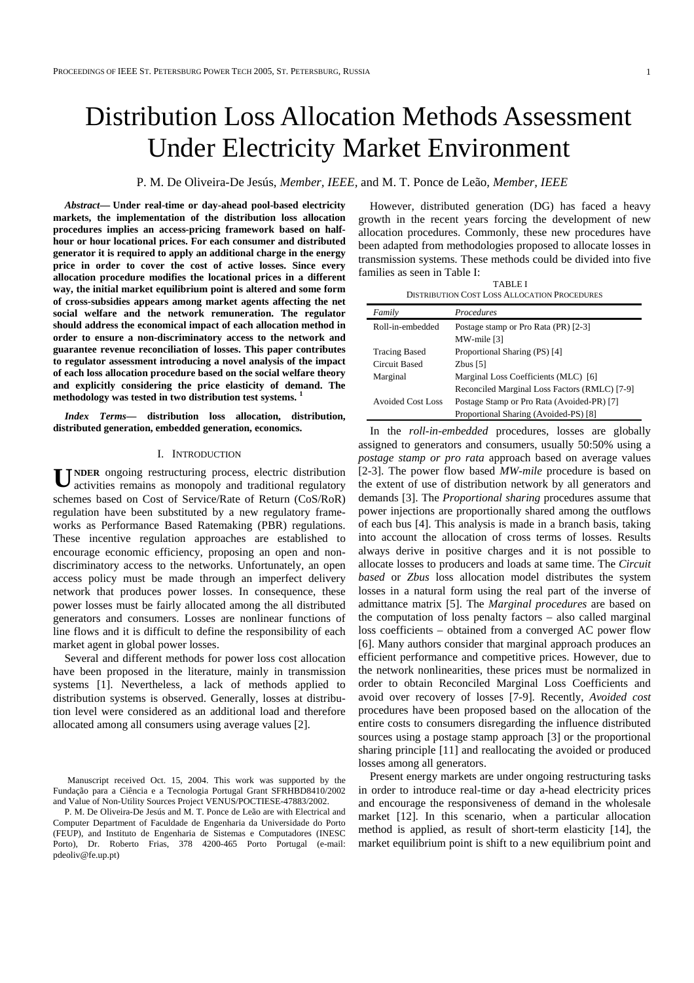# Distribution Loss Allocation Methods Assessment Under Electricity Market Environment

P. M. De Oliveira-De Jesús, *Member, IEEE,* and M. T. Ponce de Leão*, Member, IEEE*

*Abstract***— Under real-time or day-ahead pool-based electricity markets, the implementation of the distribution loss allocation procedures implies an access-pricing framework based on halfhour or hour locational prices. For each consumer and distributed generator it is required to apply an additional charge in the energy price in order to cover the cost of active losses. Since every allocation procedure modifies the locational prices in a different way, the initial market equilibrium point is altered and some form of cross-subsidies appears among market agents affecting the net social welfare and the network remuneration. The regulator should address the economical impact of each allocation method in order to ensure a non-discriminatory access to the network and guarantee revenue reconciliation of losses. This paper contributes to regulator assessment introducing a novel analysis of the impact of each loss allocation procedure based on the social welfare theory and explicitly considering the price elasticity of demand. The methodology was tested in two distribution test systems. <sup>1</sup>** 

*Index Terms***— distribution loss allocation, distribution, distributed generation, embedded generation, economics.** 

## I. INTRODUCTION

**NDER** ongoing restructuring process, electric distribution **U** activities remains as monopoly and traditional regulatory schemes based on Cost of Service/Rate of Return (CoS/RoR) regulation have been substituted by a new regulatory frameworks as Performance Based Ratemaking (PBR) regulations. These incentive regulation approaches are established to encourage economic efficiency, proposing an open and nondiscriminatory access to the networks. Unfortunately, an open access policy must be made through an imperfect delivery network that produces power losses. In consequence, these power losses must be fairly allocated among the all distributed generators and consumers. Losses are nonlinear functions of line flows and it is difficult to define the responsibility of each market agent in global power losses.

Several and different methods for power loss cost allocation have been proposed in the literature, mainly in transmission systems [1]. Nevertheless, a lack of methods applied to distribution systems is observed. Generally, losses at distribution level were considered as an additional load and therefore allocated among all consumers using average values [2].

P. M. De Oliveira-De Jesús and M. T. Ponce de Leão are with Electrical and Computer Department of Faculdade de Engenharia da Universidade do Porto (FEUP), and Instituto de Engenharia de Sistemas e Computadores (INESC Porto), Dr. Roberto Frias, 378 4200-465 Porto Portugal (e-mail: pdeoliv@fe.up.pt)

However, distributed generation (DG) has faced a heavy growth in the recent years forcing the development of new allocation procedures. Commonly, these new procedures have been adapted from methodologies proposed to allocate losses in transmission systems. These methods could be divided into five families as seen in Table I:

TABLE I DISTRIBUTION COST LOSS ALLOCATION PROCEDURES

| Family               | Procedures                                    |
|----------------------|-----------------------------------------------|
| Roll-in-embedded     | Postage stamp or Pro Rata (PR) [2-3]          |
|                      | MW-mile [3]                                   |
| <b>Tracing Based</b> | Proportional Sharing (PS) [4]                 |
| Circuit Based        | Zbus $[5]$                                    |
| Marginal             | Marginal Loss Coefficients (MLC) [6]          |
|                      | Reconciled Marginal Loss Factors (RMLC) [7-9] |
| Avoided Cost Loss    | Postage Stamp or Pro Rata (Avoided-PR) [7]    |
|                      | Proportional Sharing (Avoided-PS) [8]         |

In the *roll-in-embedded* procedures, losses are globally assigned to generators and consumers, usually 50:50% using a *postage stamp or pro rata* approach based on average values [2-3]. The power flow based *MW-mile* procedure is based on the extent of use of distribution network by all generators and demands [3]. The *Proportional sharing* procedures assume that power injections are proportionally shared among the outflows of each bus [4]. This analysis is made in a branch basis, taking into account the allocation of cross terms of losses. Results always derive in positive charges and it is not possible to allocate losses to producers and loads at same time. The *Circuit based* or *Zbus* loss allocation model distributes the system losses in a natural form using the real part of the inverse of admittance matrix [5]. The *Marginal procedures* are based on the computation of loss penalty factors – also called marginal loss coefficients – obtained from a converged AC power flow [6]. Many authors consider that marginal approach produces an efficient performance and competitive prices. However, due to the network nonlinearities, these prices must be normalized in order to obtain Reconciled Marginal Loss Coefficients and avoid over recovery of losses [7-9]. Recently, *Avoided cost*  procedures have been proposed based on the allocation of the entire costs to consumers disregarding the influence distributed sources using a postage stamp approach [3] or the proportional sharing principle [11] and reallocating the avoided or produced losses among all generators.

Present energy markets are under ongoing restructuring tasks in order to introduce real-time or day a-head electricity prices and encourage the responsiveness of demand in the wholesale market [12]. In this scenario, when a particular allocation method is applied, as result of short-term elasticity [14], the market equilibrium point is shift to a new equilibrium point and

Manuscript received Oct. 15, 2004. This work was supported by the Fundação para a Ciência e a Tecnologia Portugal Grant SFRHBD8410/2002 and Value of Non-Utility Sources Project VENUS/POCTIESE-47883/2002.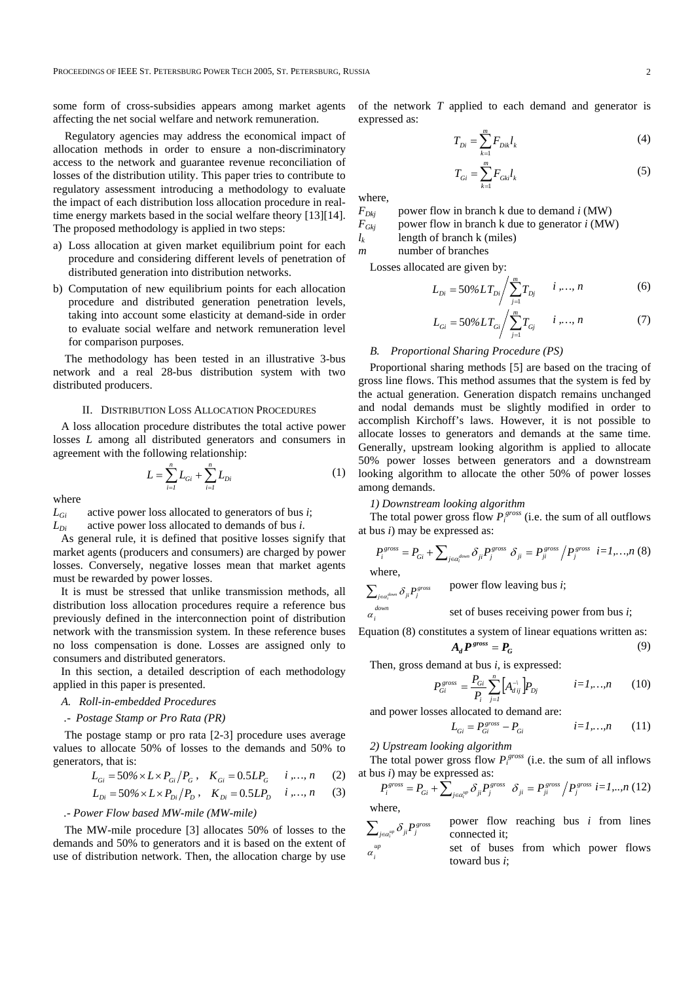some form of cross-subsidies appears among market agents affecting the net social welfare and network remuneration.

Regulatory agencies may address the economical impact of allocation methods in order to ensure a non-discriminatory access to the network and guarantee revenue reconciliation of losses of the distribution utility. This paper tries to contribute to regulatory assessment introducing a methodology to evaluate the impact of each distribution loss allocation procedure in realtime energy markets based in the social welfare theory [13][14]. The proposed methodology is applied in two steps:

- a) Loss allocation at given market equilibrium point for each procedure and considering different levels of penetration of distributed generation into distribution networks.
- b) Computation of new equilibrium points for each allocation procedure and distributed generation penetration levels, taking into account some elasticity at demand-side in order to evaluate social welfare and network remuneration level for comparison purposes.

The methodology has been tested in an illustrative 3-bus network and a real 28-bus distribution system with two distributed producers.

## II. DISTRIBUTION LOSS ALLOCATION PROCEDURES

A loss allocation procedure distributes the total active power losses *L* among all distributed generators and consumers in agreement with the following relationship:

$$
L = \sum_{i=1}^{n} L_{Gi} + \sum_{i=1}^{n} L_{Di}
$$
 (1)

where

*LGi* active power loss allocated to generators of bus *i*;

*LDi* active power loss allocated to demands of bus *i*.

As general rule, it is defined that positive losses signify that market agents (producers and consumers) are charged by power losses. Conversely, negative losses mean that market agents must be rewarded by power losses.

It is must be stressed that unlike transmission methods, all distribution loss allocation procedures require a reference bus previously defined in the interconnection point of distribution network with the transmission system. In these reference buses no loss compensation is done. Losses are assigned only to consumers and distributed generators.

In this section, a detailed description of each methodology applied in this paper is presented.

## *A. Roll-in-embedded Procedures*

## *.- Postage Stamp or Pro Rata (PR)*

 The postage stamp or pro rata [2-3] procedure uses average values to allocate 50% of losses to the demands and 50% to generators, that is:

$$
L_{Gi} = 50\% \times L \times P_{Gi} / P_G , \quad K_{Gi} = 0.5LP_G \quad i, ..., n \quad (2)
$$

$$
L_{Di} = 50\% \times L \times P_{Di} / P_D \,, \quad K_{Di} = 0.5LP_D \quad i, ..., n \tag{3}
$$

# *.- Power Flow based MW-mile (MW-mile)*

The MW-mile procedure [3] allocates 50% of losses to the demands and 50% to generators and it is based on the extent of use of distribution network. Then, the allocation charge by use of the network *T* applied to each demand and generator is expressed as:

$$
T_{Di} = \sum_{k=1}^{m} F_{Dik} l_k
$$
 (4)

$$
T_{Gi} = \sum_{k=1}^{m} F_{Gki} l_k
$$
 (5)

where,

 $\alpha_i^{down}$  $\alpha$ <sub>*i*</sub>

 $F_{Dkj}$  power flow in branch k due to demand *i* (MW)<br> $F_{Gki}$  power flow in branch k due to generator *i* (MW) power flow in branch k due to generator *i* (MW)

 $l_k$  length of branch k (miles)

*m* number of branches

Losses allocated are given by:

$$
L_{Di} = 50\%LT_{Di} / \sum_{j=1}^{m} T_{Dj} \qquad i, ..., n \tag{6}
$$

$$
L_{Gi} = 50\%LT_{Gi} / \sum_{j=1}^{m} T_{Gj} \qquad i, ..., n \qquad (7)
$$

# *B. Proportional Sharing Procedure (PS)*

Proportional sharing methods [5] are based on the tracing of gross line flows. This method assumes that the system is fed by the actual generation. Generation dispatch remains unchanged and nodal demands must be slightly modified in order to accomplish Kirchoff's laws. However, it is not possible to allocate losses to generators and demands at the same time. Generally, upstream looking algorithm is applied to allocate 50% power losses between generators and a downstream looking algorithm to allocate the other 50% of power losses among demands.

*1) Downstream looking algorithm* 

The total power gross flow  $P_i^{gross}$  (i.e. the sum of all outflows at bus *i*) may be expressed as:

$$
P_i^{gross} = P_{Gi} + \sum_{j \in \alpha_i^{down}} \delta_{ji} P_j^{gross} \delta_{ji} = P_{ji}^{gross} / P_j^{gross} \ i = 1, ..., n \ (8)
$$
where.

 power flow leaving bus *i*;  $\sum_{j \in \alpha_i^{down}} \delta_{ji} P_j^{gross}$ 

set of buses receiving power from bus *i*;

Equation (8) constitutes a system of linear equations written as:  $A_d P^{gross} = P_G$  (9)

Then, gross demand at bus *i*, is expressed:

$$
P_{Gi}^{gross} = \frac{P_{Gi}}{P_i} \sum_{j=1}^{n} \left[ A_{dij}^{\perp} \right] P_{Dj} \qquad i = 1,...,n \qquad (10)
$$

and power losses allocated to demand are:

$$
L_{Gi} = P_{Gi}^{gross} - P_{Gi} \qquad i = 1, ..., n \qquad (11)
$$

*2) Upstream looking algorithm* 

The total power gross flow  $P_i^{gross}$  (i.e. the sum of all inflows at bus *i*) may be expressed as:

$$
P_i^{gross} = P_{Gi} + \sum_{j \in \alpha_i^{up}} \delta_{ji} P_j^{gross} \delta_{ji} = P_j^{gross} / P_j^{gross} i = 1, ..., n (12)
$$
  
where.

 power flow reaching bus *i* from lines connected it;  $\sum_{j \in \alpha_i^{up}} \delta_{ji} P_j^{gross}$ 

 set of buses from which power flows toward bus *i*;  $\alpha_i^{up}$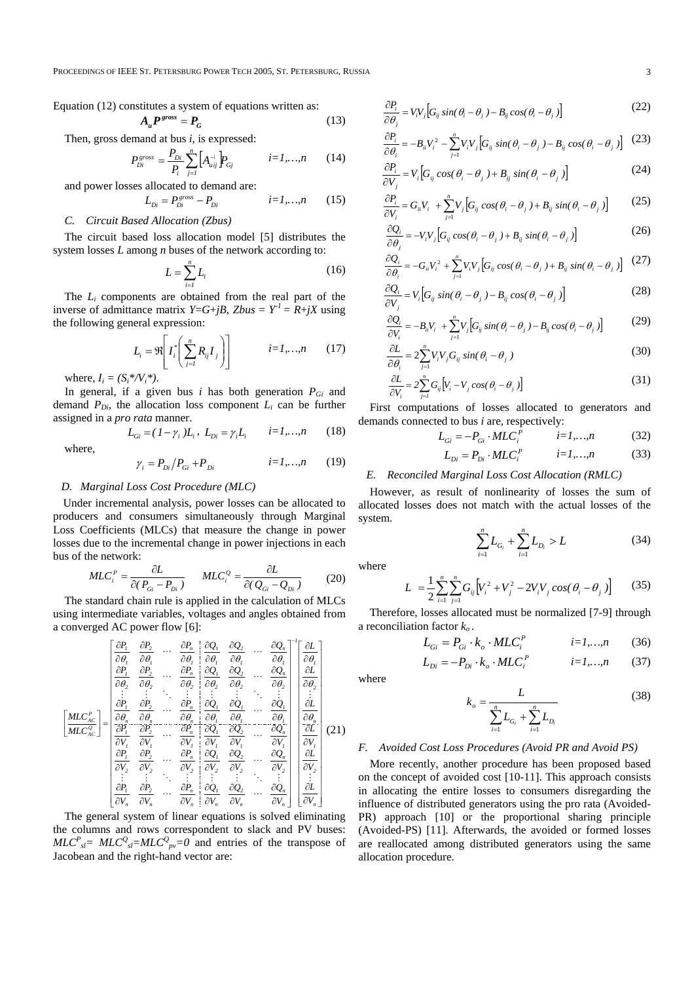PROCEEDINGS OF IEEE ST. PETERSBURG POWER TECH 2005, ST. PETERSBURG, RUSSIA 3

Equation 
$$
(12)
$$
 constitutes a system of equations written as:

$$
A_u P^{gross} = P_G \tag{13}
$$

Then, gross demand at bus *i*, is expressed:

$$
P_{Di}^{gross} = \frac{P_{Di}}{P_i} \sum_{j=1}^{n} \left[ A_{uij}^{\setminus} \right] P_{Gj} \qquad i=1,...,n \qquad (14)
$$

and power losses allocated to demand are:

$$
L_{Di} = P_{Di}^{gross} - P_{Di} \qquad i=1,...,n \qquad (15)
$$
  
C. Circuit Based Allocation (Zbus)

The circuit based loss allocation model [5] distributes the system losses *L* among *n* buses of the network according to:

$$
L = \sum_{i=1}^{n} L_i \tag{16}
$$

The *Li* components are obtained from the real part of the inverse of admittance matrix *Y*=*G*+*jB*, *Zbus* =  $Y<sup>1</sup>$  = *R*+*jX* using the following general expression:

$$
L_i = \Re \left[ I_i^* \left( \sum_{j=1}^n R_{ij} I_j \right) \right] \qquad i = 1, ..., n \qquad (17)
$$

where,  $I_i = (S_i * / V_i^*)$ .

where,

In general, if a given bus  $i$  has both generation  $P_{Gi}$  and demand  $P_{Di}$ , the allocation loss component  $L_i$  can be further assigned in a *pro rata* manner.

$$
L_{Gi} = (1 - \gamma_i)L_i, \ L_{Di} = \gamma_i L_i \qquad i = 1,...,n \qquad (18)
$$

$$
\gamma_i = P_{Di} / P_{Gi} + P_{Di} \qquad i = 1,...,n \qquad (19)
$$

## *D. Marginal Loss Cost Procedure (MLC)*

Under incremental analysis, power losses can be allocated to producers and consumers simultaneously through Marginal Loss Coefficients (MLCs) that measure the change in power losses due to the incremental change in power injections in each bus of the network:

$$
MLC_i^P = \frac{\partial L}{\partial (P_{Gi} - P_{Di})} \qquad MLC_i^Q = \frac{\partial L}{\partial (Q_{Gi} - Q_{Di})} \tag{20}
$$

 The standard chain rule is applied in the calculation of MLCs using intermediate variables, voltages and angles obtained from a converged AC power flow [6]:

$$
\begin{bmatrix}\n\frac{\partial P_1}{\partial \theta_1} & \frac{\partial P_2}{\partial \theta_1} & \cdots & \frac{\partial P_n}{\partial \theta_l} & \frac{\partial Q_2}{\partial \theta_1} & \cdots & \frac{\partial Q_n}{\partial \theta_l} \\
\frac{\partial P_1}{\partial \theta_2} & \frac{\partial P_2}{\partial \theta_2} & \cdots & \frac{\partial P_n}{\partial \theta_l} & \frac{\partial Q_2}{\partial \theta_2} & \cdots & \frac{\partial Q_n}{\partial \theta_l} \\
\vdots & \vdots & \ddots & \vdots & \vdots & \ddots & \vdots \\
\frac{\partial P_1}{\partial \theta_1} & \frac{\partial P_2}{\partial \theta_2} & \cdots & \frac{\partial P_n}{\partial \theta_n} & \frac{\partial Q_1}{\partial \theta_1} & \frac{\partial Q_1}{\partial \theta_1} & \cdots & \frac{\partial Q_n}{\partial \theta_l} \\
\frac{\partial Q_1}{\partial \theta_2} & \frac{\partial Q_1}{\partial \theta_2} & \cdots & \frac{\partial Q_n}{\partial \theta_n} & \frac{\partial Q_1}{\partial \theta_1} & \frac{\partial Q_1}{\partial \theta_1} & \cdots & \frac{\partial Q_n}{\partial \theta_l} \\
\frac{\partial Q_1}{\partial \theta_2} & \frac{\partial Q_1}{\partial \theta_2} & \cdots & \frac{\partial Q_n}{\partial \theta_n} & \frac{\partial Q_1}{\partial \theta_2} & \frac{\partial Q_2}{\partial \theta_2} & \cdots & \frac{\partial Q_n}{\partial \theta_l} \\
\frac{\partial P_1}{\partial \theta_2} & \frac{\partial P_2}{\partial \theta_2} & \cdots & \frac{\partial P_n}{\partial \theta_n} & \frac{\partial Q_1}{\partial \theta_2} & \frac{\partial Q_2}{\partial \theta_2} & \cdots & \frac{\partial Q_n}{\partial \theta_n}\n\end{bmatrix}\n\begin{bmatrix}\n\frac{\partial L}{\partial \theta_1} \\
\frac{\partial L}{\partial \theta_2} \\
\frac{\partial L}{\partial \theta_1} \\
\frac{\partial L}{\partial \theta_2} \\
\frac{\partial L}{\partial \theta_2} \\
\frac{\partial L}{\partial \theta_2} \\
\frac{\partial L}{\partial \theta_1} \\
\frac{\partial L}{\partial \theta_2} \\
\frac{\partial L}{\partial \theta_2} \\
\frac{\partial L}{\partial \theta_2} \\
\frac{\
$$

 The general system of linear equations is solved eliminating the columns and rows correspondent to slack and PV buses:  $MLC^{P}_{sl} = MLC^{Q}_{sl} = MLC^{Q}_{pv} = 0$  and entries of the transpose of Jacobean and the right-hand vector are:

$$
\frac{\partial P_i}{\partial \theta_j} = V_i V_j \Big[ G_{ij} \sin(\theta_i - \theta_j) - B_{ij} \cos(\theta_i - \theta_j) \Big]
$$
 (22)

$$
\frac{\partial P_i}{\partial \theta_i} = -B_{ii}V_i^2 - \sum_{j=1}^n V_i V_j \Big[ G_{ij} \sin(\theta_i - \theta_j) - B_{ij} \cos(\theta_i - \theta_j) \Big] \tag{23}
$$

$$
\frac{\partial P_i}{\partial V_j} = V_i \Big[ G_{ij} \cos(\theta_i - \theta_j) + B_{ij} \sin(\theta_i - \theta_j) \Big] \tag{24}
$$

$$
\frac{\partial P_i}{\partial V_i} = G_{ii} V_i + \sum_{j=1}^n V_j \Big[ G_{ij} \cos(\theta_i - \theta_j) + B_{ij} \sin(\theta_i - \theta_j) \Big] \tag{25}
$$

$$
\frac{\partial Q_i}{\partial \theta_j} = -V_i V_j \Big[ G_{ij} \cos(\theta_i - \theta_j) + B_{ij} \sin(\theta_i - \theta_j) \Big]
$$
(26)

$$
\frac{\partial Q_i}{\partial \theta_i} = -G_{ii}V_i^2 + \sum_{j=1}^n V_i V_j \Big[ G_{ij} \cos(\theta_i - \theta_j) + B_{ij} \sin(\theta_i - \theta_j) \Big] \tag{27}
$$

$$
\frac{\partial Q_i}{\partial V_j} = V_i \Big[ G_{ij} \sin(\theta_i - \theta_j) - B_{ij} \cos(\theta_i - \theta_j) \Big] \tag{28}
$$

$$
\frac{\partial Q_i}{\partial V_i} = -B_{ii}V_i + \sum_{j=1}^n V_j \Big[ G_{ij} \sin(\theta_i - \theta_j) - B_{ij} \cos(\theta_i - \theta_j) \Big] \tag{29}
$$

$$
\frac{\partial L}{\partial \theta_i} = 2 \sum_{j=1}^n V_i V_j G_{ij} \sin(\theta_i - \theta_j)
$$
\n(30)

$$
\frac{\partial L}{\partial V_i} = 2 \sum_{j=1}^n G_{ij} \left[ V_i - V_j \cos(\theta_i - \theta_j) \right]
$$
\n(31)

 First computations of losses allocated to generators and demands connected to bus *i* are, respectively:

$$
L_{Gi} = -P_{Gi} \cdot MLC_i^P \qquad i=1,...,n \qquad (32)
$$

$$
L_{Di} = P_{Di} \cdot MLC_i^P \qquad i=1,...,n \qquad (33)
$$

## *E. Reconciled Marginal Loss Cost Allocation (RMLC)*

 However, as result of nonlinearity of losses the sum of allocated losses does not match with the actual losses of the system.

$$
\sum_{i=1}^{n} L_{G_i} + \sum_{i=1}^{n} L_{D_i} > L \tag{34}
$$

where

$$
L = \frac{1}{2} \sum_{i=1}^{n} \sum_{j=1}^{n} G_{ij} \Big[ V_i^2 + V_j^2 - 2V_i V_j \cos(\theta_i - \theta_j) \Big] \qquad (35)
$$

 Therefore, losses allocated must be normalized [7-9] through a reconciliation factor  $k<sub>o</sub>$ .

$$
L_{Gi} = P_{Gi} \cdot k_o \cdot MLC_i^P \qquad i=1,...,n \qquad (36)
$$

$$
L_{Di} = -P_{Di} \cdot k_o \cdot MLC_i^P \qquad i=1,...,n \qquad (37)
$$

where

$$
k_o = \frac{L}{\sum_{i=1}^{n} L_{G_i} + \sum_{i=1}^{n} L_{D_i}}
$$
(38)

## *F. Avoided Cost Loss Procedures (Avoid PR and Avoid PS)*

 More recently, another procedure has been proposed based on the concept of avoided cost [10-11]. This approach consists in allocating the entire losses to consumers disregarding the influence of distributed generators using the pro rata (Avoided-PR) approach [10] or the proportional sharing principle (Avoided-PS) [11]. Afterwards, the avoided or formed losses are reallocated among distributed generators using the same allocation procedure.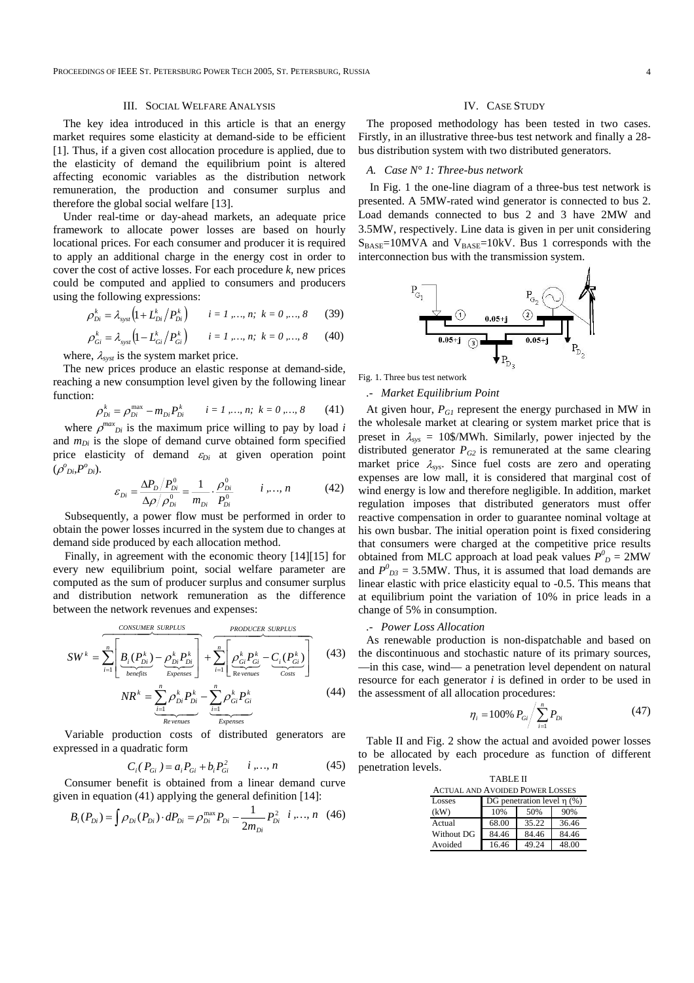PROCEEDINGS OF IEEE ST. PETERSBURG POWER TECH 2005, ST. PETERSBURG, RUSSIA 4

## III. SOCIAL WELFARE ANALYSIS

The key idea introduced in this article is that an energy market requires some elasticity at demand-side to be efficient [1]. Thus, if a given cost allocation procedure is applied, due to the elasticity of demand the equilibrium point is altered affecting economic variables as the distribution network remuneration, the production and consumer surplus and therefore the global social welfare [13].

Under real-time or day-ahead markets, an adequate price framework to allocate power losses are based on hourly locational prices. For each consumer and producer it is required to apply an additional charge in the energy cost in order to cover the cost of active losses. For each procedure *k,* new prices could be computed and applied to consumers and producers using the following expressions:

$$
\rho_{Di}^k = \lambda_{syst} \left( 1 + L_{Di}^k / P_{Di}^k \right) \qquad i = 1, ..., n; \ k = 0, ..., 8 \qquad (39)
$$

$$
\rho_{Gi}^{k} = \lambda_{syst} \left( 1 - L_{Gi}^{k} / P_{Gi}^{k} \right) \qquad i = 1, ..., n; \ \ k = 0, ..., 8 \qquad (40)
$$

where,  $\lambda_{syst}$  is the system market price.

The new prices produce an elastic response at demand-side, reaching a new consumption level given by the following linear function:

$$
\rho_{Di}^k = \rho_{Di}^{\max} - m_{Di} P_{Di}^k \qquad i = 1, ..., n; \quad k = 0, ..., 8 \tag{41}
$$

where  $\rho^{max}_{\rho i}$  is the maximum price willing to pay by load *i* and  $m_{Di}$  is the slope of demand curve obtained form specified price elasticity of demand <sup>ε</sup>*Di* at given operation point  $(\rho^o_{Di}, P^o_{Di})$ .

$$
\varepsilon_{Di} = \frac{\Delta P_D / P_{Di}^0}{\Delta \rho / \rho_{Di}^0} = \frac{1}{m_{Di}} \cdot \frac{\rho_{Di}^0}{P_{Di}^0} \qquad i, ..., n \qquad (42)
$$

Subsequently, a power flow must be performed in order to obtain the power losses incurred in the system due to changes at demand side produced by each allocation method.

Finally, in agreement with the economic theory [14][15] for every new equilibrium point, social welfare parameter are computed as the sum of producer surplus and consumer surplus and distribution network remuneration as the difference between the network revenues and expenses:

$$
SW^k = \sum_{i=1}^n \left[ \underbrace{B_i(P_{Di}^k) - \underbrace{\rho_{Di}^k P_{Di}^k}_{\text{Eepenses}} \right] + \sum_{i=1}^n \left[ \underbrace{\rho_{Gi}^k P_{Gi}^k - C_i(P_{Gi}^k)}_{\text{Revements}} \right] \tag{43}
$$

$$
NR^{k} = \underbrace{\sum_{i=1}^{n} \rho_{Di}^{k} P_{Di}^{k}}_{\text{Revements}} - \underbrace{\sum_{i=1}^{n} \rho_{Gi}^{k} P_{Gi}^{k}}_{\text{Expenses}}
$$
(44)

 Variable production costs of distributed generators are expressed in a quadratic form

$$
C_i(P_{Gi}) = a_i P_{Gi} + b_i P_{Gi}^2 \t i, ..., n \t (45)
$$

Consumer benefit is obtained from a linear demand curve given in equation (41) applying the general definition [14]:

$$
B_i(P_{Di}) = \int \rho_{Di}(P_{Di}) \cdot dP_{Di} = \rho_{Di}^{\max} P_{Di} - \frac{1}{2m_{Di}} P_{Di}^2 \quad i, ..., n \quad (46)
$$

## IV. CASE STUDY

The proposed methodology has been tested in two cases. Firstly, in an illustrative three-bus test network and finally a 28 bus distribution system with two distributed generators.

# *A. Case N° 1: Three-bus network*

In Fig. 1 the one-line diagram of a three-bus test network is presented. A 5MW-rated wind generator is connected to bus 2. Load demands connected to bus 2 and 3 have 2MW and 3.5MW, respectively. Line data is given in per unit considering  $S_{BASE}=10MVA$  and  $V_{BASE}=10kV$ . Bus 1 corresponds with the interconnection bus with the transmission system.



Fig. 1. Three bus test network

## *.- Market Equilibrium Point*

At given hour,  $P_{GI}$  represent the energy purchased in MW in the wholesale market at clearing or system market price that is preset in  $\lambda_{sys} = 10\$/MWh$ . Similarly, power injected by the distributed generator  $P_{G2}$  is remunerated at the same clearing market price  $\lambda_{\text{sys}}$ . Since fuel costs are zero and operating expenses are low mall, it is considered that marginal cost of wind energy is low and therefore negligible. In addition, market regulation imposes that distributed generators must offer reactive compensation in order to guarantee nominal voltage at his own busbar. The initial operation point is fixed considering that consumers were charged at the competitive price results obtained from MLC approach at load peak values  $P^0{}_D = 2MW$ and  $P^{0}_{D3} = 3.5$ MW. Thus, it is assumed that load demands are linear elastic with price elasticity equal to -0.5. This means that at equilibrium point the variation of 10% in price leads in a change of 5% in consumption.

### *.- Power Loss Allocation*

As renewable production is non-dispatchable and based on the discontinuous and stochastic nature of its primary sources, —in this case, wind— a penetration level dependent on natural resource for each generator *i* is defined in order to be used in the assessment of all allocation procedures:

$$
\eta_i = 100\% \ P_{Gi} / \sum_{i=1}^{n} P_{Di} \tag{47}
$$

Table II and Fig. 2 show the actual and avoided power losses to be allocated by each procedure as function of different penetration levels.

| <b>TABLE II</b>                        |                                 |       |       |  |  |  |  |  |  |
|----------------------------------------|---------------------------------|-------|-------|--|--|--|--|--|--|
| <b>ACTUAL AND AVOIDED POWER LOSSES</b> |                                 |       |       |  |  |  |  |  |  |
| Losses                                 | DG penetration level $\eta$ (%) |       |       |  |  |  |  |  |  |
| (kW)                                   | 10%                             | 50%   | 90%   |  |  |  |  |  |  |
| Actual                                 | 68.00                           | 35.22 | 36.46 |  |  |  |  |  |  |
| Without DG                             | 84.46                           | 84.46 | 84.46 |  |  |  |  |  |  |
| Avoided                                | 16.46                           | 49.24 | 48.00 |  |  |  |  |  |  |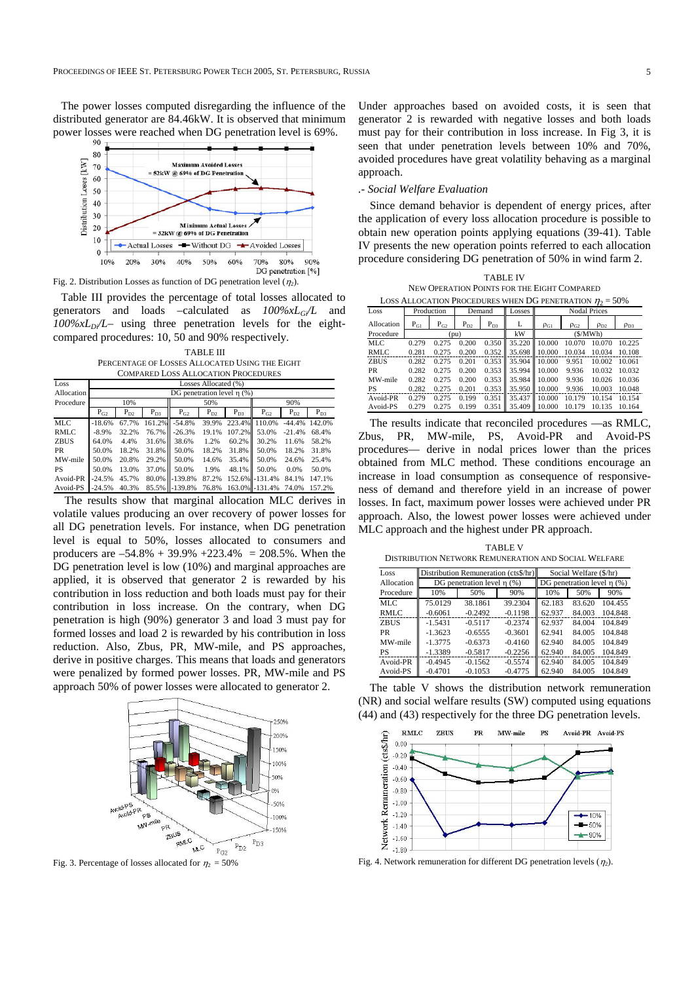The power losses computed disregarding the influence of the distributed generator are 84.46kW. It is observed that minimum power losses were reached when DG penetration level is 69%.



Fig. 2. Distribution Losses as function of DG penetration level  $(\eta_2)$ .

Table III provides the percentage of total losses allocated to generators and loads –calculated as *100%xLGi/L* and  $100\%xL_D/L$ – using three penetration levels for the eightcompared procedures: 10, 50 and 90% respectively.

TABLE III PERCENTAGE OF LOSSES ALLOCATED USING THE EIGHT COMPARED LOSS ALLOCATION PROCEDURES

| Loss        | Losses Allocated (%)                                                 |       |        |           |       |          |                 |          |          |  |
|-------------|----------------------------------------------------------------------|-------|--------|-----------|-------|----------|-----------------|----------|----------|--|
| Allocation  | DG penetration level $\eta$ (%)                                      |       |        |           |       |          |                 |          |          |  |
| Procedure   | 10%                                                                  |       |        | 50%       |       |          | 90%             |          |          |  |
|             | $P_{D3}$<br>$P_{D3}$<br>$P_{G2}$<br>$P_{D2}$<br>$P_{G2}$<br>$P_{D2}$ |       |        |           |       |          | $P_{G2}$        | $P_{D2}$ | $P_{D3}$ |  |
| MLC         | $-18.6%$                                                             | 67.7% | 161.2% | $-54.8%$  | 39.9% | 223.4%   | 110.0%          | $-44.4%$ | 142.0%   |  |
| RMLC        | $-8.9%$                                                              | 32.2% | 76.7%  | $-26.3%$  | 19.1% | 107.2%II | 53.0%           | $-21.4%$ | 68.4%    |  |
| <b>ZBUS</b> | 64.0%                                                                | 4.4%  | 31.6%  | 38.6%     | 1.2%  | 60.2%    | 30.2%           | 11.6%    | 58.2%    |  |
| <b>PR</b>   | 50.0%                                                                | 18.2% | 31.8%  | 50.0%     | 18.2% | 31.8%    | 50.0%           | 18.2%    | 31.8%    |  |
| MW-mile     | 50.0%                                                                | 20.8% | 29.2%  | 50.0%     | 14.6% | 35.4%    | 50.0%           | 24.6%    | 25.4%    |  |
| <b>PS</b>   | 50.0%                                                                | 13.0% | 37.0%  | 50.0%     | 1.9%  | 48.1%    | 50.0%           | 0.0%     | 50.0%    |  |
| Avoid-PR    | $-24.5%$                                                             | 45.7% | 80.0%  | $-139.8%$ | 87.2% |          | 152.6% - 131.4% | 84.1%    | 147.1%   |  |
| Avoid-PS    | $-24.5%$                                                             | 40.3% | 85.5%  | $-139.8%$ | 76.8% |          | 163.0% - 131.4% | 74.0%    | 157.2%   |  |

 The results show that marginal allocation MLC derives in volatile values producing an over recovery of power losses for all DG penetration levels. For instance, when DG penetration level is equal to 50%, losses allocated to consumers and producers are  $-54.8\% + 39.9\% + 223.4\% = 208.5\%$ . When the DG penetration level is low (10%) and marginal approaches are applied, it is observed that generator 2 is rewarded by his contribution in loss reduction and both loads must pay for their contribution in loss increase. On the contrary, when DG penetration is high (90%) generator 3 and load 3 must pay for formed losses and load 2 is rewarded by his contribution in loss reduction. Also, Zbus, PR, MW-mile, and PS approaches, derive in positive charges. This means that loads and generators were penalized by formed power losses. PR, MW-mile and PS approach 50% of power losses were allocated to generator 2.



Fig. 3. Percentage of losses allocated for  $\eta_2 = 50\%$ 

Under approaches based on avoided costs, it is seen that generator 2 is rewarded with negative losses and both loads must pay for their contribution in loss increase. In Fig 3, it is seen that under penetration levels between 10% and 70%, avoided procedures have great volatility behaving as a marginal approach.

## *.- Social Welfare Evaluation*

 Since demand behavior is dependent of energy prices, after the application of every loss allocation procedure is possible to obtain new operation points applying equations (39-41). Table IV presents the new operation points referred to each allocation procedure considering DG penetration of 50% in wind farm 2.

TABLE IV

| NEW OPERATION POINTS FOR THE EIGHT COMPARED                    |                      |                       |          |          |        |                                                              |        |        |        |  |
|----------------------------------------------------------------|----------------------|-----------------------|----------|----------|--------|--------------------------------------------------------------|--------|--------|--------|--|
| LOSS ALLOCATION PROCEDURES WHEN DG PENETRATION $\eta_2 = 50\%$ |                      |                       |          |          |        |                                                              |        |        |        |  |
| Loss                                                           | Production<br>Demand |                       |          |          | Losses | <b>Nodal Prices</b>                                          |        |        |        |  |
| Allocation                                                     | $P_{G1}$             | $P_{G2}$              | $P_{D2}$ | $P_{D3}$ | L      | $\rho_{\rm G1}$<br>$\rho_{G2}$<br>$\rho_{D3}$<br>$\rho_{D2}$ |        |        |        |  |
| Procedure                                                      |                      | kW<br>(S/MWh)<br>(pu) |          |          |        |                                                              |        |        |        |  |
| MLC                                                            | 0.279                | 0.275                 | 0.200    | 0.350    | 35.220 | 10.000                                                       | 10.070 | 10.070 | 10.225 |  |
| <b>RMLC</b>                                                    | 0.281                | 0.275                 | 0.200    | 0.352    | 35.698 | 10.000                                                       | 10.034 | 10.034 | 10.108 |  |
| <b>ZBUS</b>                                                    | 0.282                | 0.275                 | 0.201    | 0.353    | 35.904 | 10.000                                                       | 9.951  | 10.002 | 10.061 |  |
| PR                                                             | 0.282                | 0.275                 | 0.200    | 0.353    | 35.994 | 10.000                                                       | 9.936  | 10.032 | 10.032 |  |
| MW-mile                                                        | 0.282                | 0.275                 | 0.200    | 0.353    | 35.984 | 10.000                                                       | 9.936  | 10.026 | 10.036 |  |
| <b>PS</b>                                                      | 0.282                | 0.275                 | 0.201    | 0.353    | 35.950 | 10.000                                                       | 9.936  | 10.003 | 10.048 |  |
| Avoid-PR                                                       | 0.279                | 0.275                 | 0.199    | 0.351    | 35.437 | 10.000<br>Ш                                                  | 10.179 | 10.154 | 10.154 |  |
| Avoid-PS                                                       | 0.279                | 0.275                 | 0.199    | 0.351    | 35.409 | 10.000                                                       | 10.179 | 10.135 | 10.164 |  |

 The results indicate that reconciled procedures —as RMLC, Zbus, PR, MW-mile, PS, Avoid-PR and Avoid-PS procedures— derive in nodal prices lower than the prices obtained from MLC method. These conditions encourage an increase in load consumption as consequence of responsiveness of demand and therefore yield in an increase of power losses. In fact, maximum power losses were achieved under PR approach. Also, the lowest power losses were achieved under MLC approach and the highest under PR approach.

TABLE V DISTRIBUTION NETWORK REMUNERATION AND SOCIAL WELFARE

| Loss        |           | Distribution Remuneration (cts\$/hr) | Social Welfare (\$/hr)          |        |        |         |
|-------------|-----------|--------------------------------------|---------------------------------|--------|--------|---------|
| Allocation  |           | DG penetration level $\eta$ (%)      | DG penetration level $\eta$ (%) |        |        |         |
| Procedure   | 10%       | 50%                                  | 10%                             | 50%    | 90%    |         |
| MLC.        | 75.0129   | 38.1861                              | 39.2304                         | 62.183 | 83.620 | 104.455 |
| RMLC        | $-0.6061$ | $-0.2492$                            | $-0.1198$                       | 62.937 | 84.003 | 104.848 |
| <b>ZBUS</b> | $-1.5431$ | $-0.5117$                            | $-0.2374$                       | 62.937 | 84.004 | 104.849 |
| PR          | $-1.3623$ | $-0.6555$                            | $-0.3601$                       | 62.941 | 84.005 | 104.848 |
| MW-mile     | $-1.3775$ | $-0.6373$                            | $-0.4160$                       | 62.940 | 84.005 | 104.849 |
| PS          | $-1.3389$ | $-0.5817$                            | $-0.2256$                       | 62.940 | 84.005 | 104.849 |
| Avoid-PR    | $-0.4945$ | $-0.1562$                            | $-0.5574$                       | 62.940 | 84.005 | 104.849 |
| Avoid-PS    | $-0.4701$ | $-0.1053$                            | $-0.4775$                       | 62.940 | 84.005 | 104.849 |

 The table V shows the distribution network remuneration (NR) and social welfare results (SW) computed using equations (44) and (43) respectively for the three DG penetration levels.



Fig. 4. Network remuneration for different DG penetration levels  $(\eta_2)$ .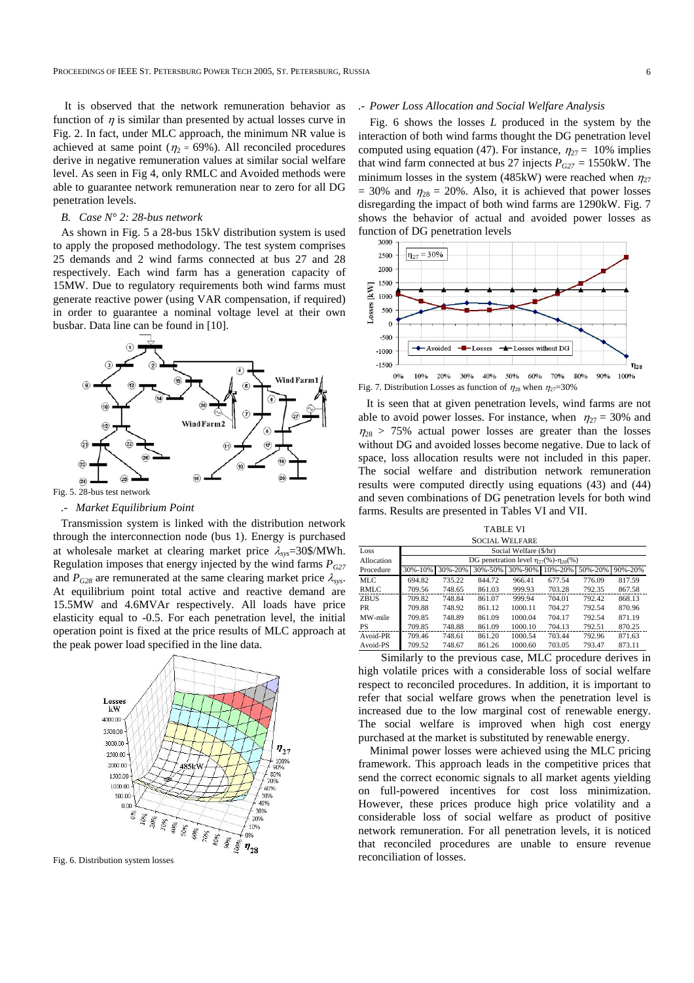It is observed that the network remuneration behavior as function of  $\eta$  is similar than presented by actual losses curve in Fig. 2. In fact, under MLC approach, the minimum NR value is achieved at same point ( $\eta_2$  = 69%). All reconciled procedures derive in negative remuneration values at similar social welfare level. As seen in Fig 4, only RMLC and Avoided methods were able to guarantee network remuneration near to zero for all DG penetration levels.

## *B. Case N° 2: 28-bus network*

As shown in Fig. 5 a 28-bus 15kV distribution system is used to apply the proposed methodology. The test system comprises 25 demands and 2 wind farms connected at bus 27 and 28 respectively. Each wind farm has a generation capacity of 15MW. Due to regulatory requirements both wind farms must generate reactive power (using VAR compensation, if required) in order to guarantee a nominal voltage level at their own busbar. Data line can be found in [10].



### *.- Market Equilibrium Point*

Transmission system is linked with the distribution network through the interconnection node (bus 1). Energy is purchased at wholesale market at clearing market price λ*sys*=30\$/MWh. Regulation imposes that energy injected by the wind farms  $P_{G27}$ and  $P_{G28}$  are remunerated at the same clearing market price  $\lambda_{sys}$ . At equilibrium point total active and reactive demand are 15.5MW and 4.6MVAr respectively. All loads have price elasticity equal to -0.5. For each penetration level, the initial operation point is fixed at the price results of MLC approach at the peak power load specified in the line data.



Fig. 6. Distribution system losses

## *.- Power Loss Allocation and Social Welfare Analysis*

Fig. 6 shows the losses *L* produced in the system by the interaction of both wind farms thought the DG penetration level computed using equation (47). For instance,  $\eta_{27} = 10\%$  implies that wind farm connected at bus 27 injects  $P_{G27} = 1550$ kW. The minimum losses in the system (485kW) were reached when  $\eta_{27}$  $= 30\%$  and  $\eta_{28} = 20\%$ . Also, it is achieved that power losses disregarding the impact of both wind farms are 1290kW. Fig. 7 shows the behavior of actual and avoided power losses as function of DG penetration levels



It is seen that at given penetration levels, wind farms are not able to avoid power losses. For instance, when  $\eta_{27} = 30\%$  and  $\eta_{28}$  > 75% actual power losses are greater than the losses without DG and avoided losses become negative. Due to lack of space, loss allocation results were not included in this paper. The social welfare and distribution network remuneration results were computed directly using equations (43) and (44) and seven combinations of DG penetration levels for both wind farms. Results are presented in Tables VI and VII.

TABLE VI SOCIAL WELFARE

| Loss        | Social Welfare (\$/hr)                                                    |        |        |         |        |        |        |  |  |  |
|-------------|---------------------------------------------------------------------------|--------|--------|---------|--------|--------|--------|--|--|--|
| Allocation  | DG penetration level $\eta_{27}(\%)$ - $\eta_{28}(\%)$                    |        |        |         |        |        |        |  |  |  |
| Procedure   | 90%-20%<br>30%-50%<br>30%-90%<br>10%-20%<br>30%-10%<br>30%-20%<br>50%-20% |        |        |         |        |        |        |  |  |  |
| MLC         | 694.82                                                                    | 735.22 | 844.72 | 966.41  | 677.54 | 776.09 | 817.59 |  |  |  |
| RMLC        | 709.56                                                                    | 748.65 | 861.03 | 999.93  | 703.28 | 792.35 | 867.58 |  |  |  |
| <b>ZBUS</b> | 709.82                                                                    | 748.84 | 861.07 | 999.94  | 704.01 | 792.42 | 868.13 |  |  |  |
| <b>PR</b>   | 709.88                                                                    | 748.92 | 861.12 | 1000.11 | 704.27 | 792.54 | 870.96 |  |  |  |
| MW-mile     | 709.85                                                                    | 748.89 | 861.09 | 1000.04 | 704.17 | 792.54 | 871.19 |  |  |  |
| <b>PS</b>   | 709.85                                                                    | 748.88 | 861.09 | 1000.10 | 704.13 | 792.51 | 870.25 |  |  |  |
| Avoid-PR    | 709.46                                                                    | 748.61 | 861.20 | 1000.54 | 703.44 | 792.96 | 871.63 |  |  |  |
| Avoid-PS    | 709.52                                                                    | 748.67 | 861.26 | 1000.60 | 703.05 | 793.47 | 873.11 |  |  |  |

 Similarly to the previous case, MLC procedure derives in high volatile prices with a considerable loss of social welfare respect to reconciled procedures. In addition, it is important to refer that social welfare grows when the penetration level is increased due to the low marginal cost of renewable energy. The social welfare is improved when high cost energy purchased at the market is substituted by renewable energy.

 Minimal power losses were achieved using the MLC pricing framework. This approach leads in the competitive prices that send the correct economic signals to all market agents yielding on full-powered incentives for cost loss minimization. However, these prices produce high price volatility and a considerable loss of social welfare as product of positive network remuneration. For all penetration levels, it is noticed that reconciled procedures are unable to ensure revenue reconciliation of losses.